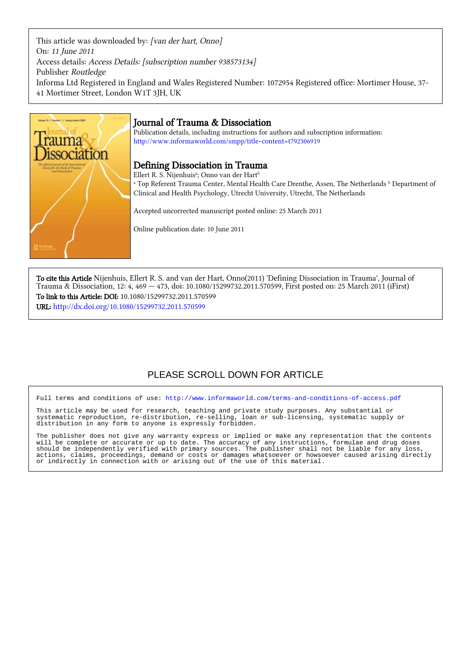This article was downloaded by: [van der hart, Onno] On: 11 June 2011 Access details: Access Details: [subscription number 938573134] Publisher Routledge Informa Ltd Registered in England and Wales Registered Number: 1072954 Registered office: Mortimer House, 37- 41 Mortimer Street, London W1T 3JH, UK



## Journal of Trauma & Dissociation

Publication details, including instructions for authors and subscription information: <http://www.informaworld.com/smpp/title~content=t792306919>

## Defining Dissociation in Trauma

Ellert R. S. Nijenhuisª; Onno van der Hart<sup>b</sup> <sup>a</sup> Top Referent Trauma Center, Mental Health Care Drenthe, Assen, The Netherlands <sup>b</sup> Department of Clinical and Health Psychology, Utrecht University, Utrecht, The Netherlands

Accepted uncorrected manuscript posted online: 25 March 2011

Online publication date: 10 June 2011

To cite this Article Nijenhuis, Ellert R. S. and van der Hart, Onno(2011) 'Defining Dissociation in Trauma', Journal of Trauma & Dissociation, 12: 4, 469 — 473, doi: 10.1080/15299732.2011.570599, First posted on: 25 March 2011 (iFirst) To link to this Article: DOI: 10.1080/15299732.2011.570599 URL: <http://dx.doi.org/10.1080/15299732.2011.570599>

# PLEASE SCROLL DOWN FOR ARTICLE

Full terms and conditions of use:<http://www.informaworld.com/terms-and-conditions-of-access.pdf>

This article may be used for research, teaching and private study purposes. Any substantial or systematic reproduction, re-distribution, re-selling, loan or sub-licensing, systematic supply or distribution in any form to anyone is expressly forbidden.

The publisher does not give any warranty express or implied or make any representation that the contents will be complete or accurate or up to date. The accuracy of any instructions, formulae and drug doses should be independently verified with primary sources. The publisher shall not be liable for any loss, actions, claims, proceedings, demand or costs or damages whatsoever or howsoever caused arising directly or indirectly in connection with or arising out of the use of this material.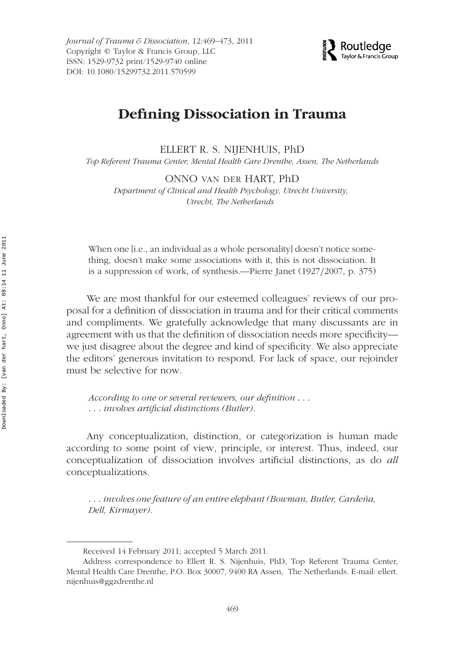

# **Defining Dissociation in Trauma**

ELLERT R. S. NIJENHUIS, PhD

*Top Referent Trauma Center, Mental Health Care Drenthe, Assen, The Netherlands*

ONNO VAN DER HART, PhD *Department of Clinical and Health Psychology, Utrecht University, Utrecht, The Netherlands*

When one [i.e., an individual as a whole personality] doesn't notice something, doesn't make some associations with it, this is not dissociation. It is a suppression of work, of synthesis.—Pierre Janet (1927*/*2007, p. 375)

We are most thankful for our esteemed colleagues' reviews of our proposal for a definition of dissociation in trauma and for their critical comments and compliments. We gratefully acknowledge that many discussants are in agreement with us that the definition of dissociation needs more specificity we just disagree about the degree and kind of specificity. We also appreciate the editors' generous invitation to respond. For lack of space, our rejoinder must be selective for now.

*According to one or several reviewers, our definition ... ... involves artificial distinctions (Butler).*

Any conceptualization, distinction, or categorization is human made according to some point of view, principle, or interest. Thus, indeed, our conceptualization of dissociation involves artificial distinctions, as do *all* conceptualizations.

*... involves one feature of an entire elephant (Bowman, Butler, Cardeña, Dell, Kirmayer).*

Received 14 February 2011; accepted 5 March 2011.

Address correspondence to Ellert R. S. Nijenhuis, PhD, Top Referent Trauma Center, Mental Health Care Drenthe, P.O. Box 30007, 9400 RA Assen, The Netherlands. E-mail: ellert. nijenhuis@ggzdrenthe.nl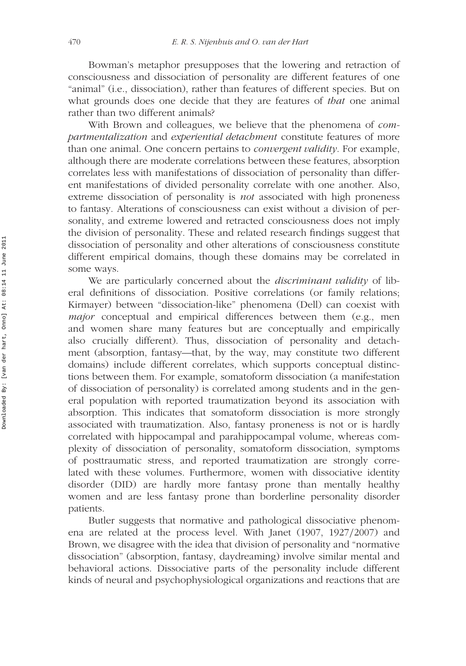Bowman's metaphor presupposes that the lowering and retraction of consciousness and dissociation of personality are different features of one "animal" (i.e., dissociation), rather than features of different species. But on what grounds does one decide that they are features of *that* one animal rather than two different animals?

With Brown and colleagues, we believe that the phenomena of *compartmentalization* and *experiential detachment* constitute features of more than one animal. One concern pertains to *convergent validity*. For example, although there are moderate correlations between these features, absorption correlates less with manifestations of dissociation of personality than different manifestations of divided personality correlate with one another. Also, extreme dissociation of personality is *not* associated with high proneness to fantasy. Alterations of consciousness can exist without a division of personality, and extreme lowered and retracted consciousness does not imply the division of personality. These and related research findings suggest that dissociation of personality and other alterations of consciousness constitute different empirical domains, though these domains may be correlated in some ways.

We are particularly concerned about the *discriminant validity* of liberal definitions of dissociation. Positive correlations (or family relations; Kirmayer) between "dissociation-like" phenomena (Dell) can coexist with *major* conceptual and empirical differences between them (e.g., men and women share many features but are conceptually and empirically also crucially different). Thus, dissociation of personality and detachment (absorption, fantasy—that, by the way, may constitute two different domains) include different correlates, which supports conceptual distinctions between them. For example, somatoform dissociation (a manifestation of dissociation of personality) is correlated among students and in the general population with reported traumatization beyond its association with absorption. This indicates that somatoform dissociation is more strongly associated with traumatization. Also, fantasy proneness is not or is hardly correlated with hippocampal and parahippocampal volume, whereas complexity of dissociation of personality, somatoform dissociation, symptoms of posttraumatic stress, and reported traumatization are strongly correlated with these volumes. Furthermore, women with dissociative identity disorder (DID) are hardly more fantasy prone than mentally healthy women and are less fantasy prone than borderline personality disorder patients.

Butler suggests that normative and pathological dissociative phenomena are related at the process level. With Janet (1907, 1927*/*2007) and Brown, we disagree with the idea that division of personality and "normative dissociation" (absorption, fantasy, daydreaming) involve similar mental and behavioral actions. Dissociative parts of the personality include different kinds of neural and psychophysiological organizations and reactions that are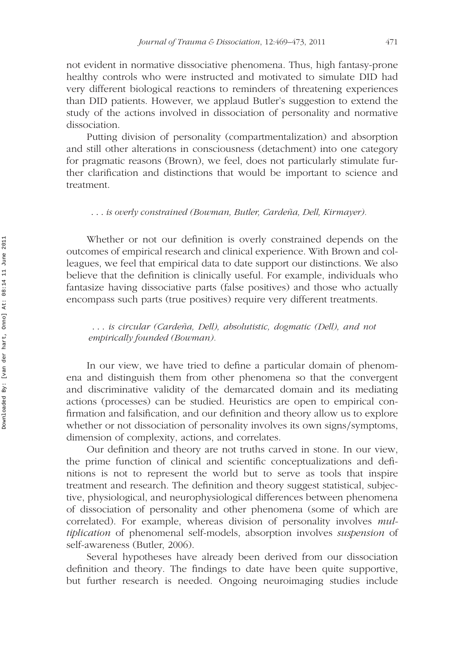not evident in normative dissociative phenomena. Thus, high fantasy-prone healthy controls who were instructed and motivated to simulate DID had very different biological reactions to reminders of threatening experiences than DID patients. However, we applaud Butler's suggestion to extend the study of the actions involved in dissociation of personality and normative dissociation.

Putting division of personality (compartmentalization) and absorption and still other alterations in consciousness (detachment) into one category for pragmatic reasons (Brown), we feel, does not particularly stimulate further clarification and distinctions that would be important to science and treatment.

#### *... is overly constrained (Bowman, Butler, Cardeña, Dell, Kirmayer).*

Whether or not our definition is overly constrained depends on the outcomes of empirical research and clinical experience. With Brown and colleagues, we feel that empirical data to date support our distinctions. We also believe that the definition is clinically useful. For example, individuals who fantasize having dissociative parts (false positives) and those who actually encompass such parts (true positives) require very different treatments.

*... is circular (Cardeña, Dell), absolutistic, dogmatic (Dell), and not empirically founded (Bowman).*

In our view, we have tried to define a particular domain of phenomena and distinguish them from other phenomena so that the convergent and discriminative validity of the demarcated domain and its mediating actions (processes) can be studied. Heuristics are open to empirical confirmation and falsification, and our definition and theory allow us to explore whether or not dissociation of personality involves its own signs*/*symptoms, dimension of complexity, actions, and correlates.

Our definition and theory are not truths carved in stone. In our view, the prime function of clinical and scientific conceptualizations and definitions is not to represent the world but to serve as tools that inspire treatment and research. The definition and theory suggest statistical, subjective, physiological, and neurophysiological differences between phenomena of dissociation of personality and other phenomena (some of which are correlated). For example, whereas division of personality involves *multiplication* of phenomenal self-models, absorption involves *suspension* of self-awareness (Butler, 2006).

Several hypotheses have already been derived from our dissociation definition and theory. The findings to date have been quite supportive, but further research is needed. Ongoing neuroimaging studies include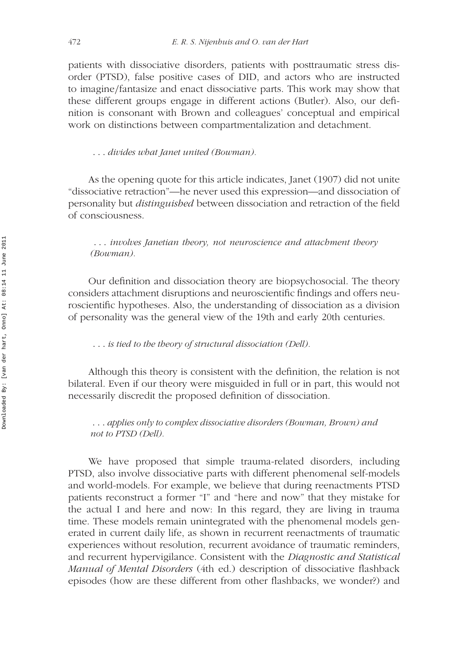patients with dissociative disorders, patients with posttraumatic stress disorder (PTSD), false positive cases of DID, and actors who are instructed to imagine*/*fantasize and enact dissociative parts. This work may show that these different groups engage in different actions (Butler). Also, our definition is consonant with Brown and colleagues' conceptual and empirical work on distinctions between compartmentalization and detachment.

*... divides what Janet united (Bowman).*

As the opening quote for this article indicates, Janet (1907) did not unite "dissociative retraction"—he never used this expression—and dissociation of personality but *distinguished* between dissociation and retraction of the field of consciousness.

### *... involves Janetian theory, not neuroscience and attachment theory (Bowman).*

Our definition and dissociation theory are biopsychosocial. The theory considers attachment disruptions and neuroscientific findings and offers neuroscientific hypotheses. Also, the understanding of dissociation as a division of personality was the general view of the 19th and early 20th centuries.

#### *... is tied to the theory of structural dissociation (Dell).*

Although this theory is consistent with the definition, the relation is not bilateral. Even if our theory were misguided in full or in part, this would not necessarily discredit the proposed definition of dissociation.

*... applies only to complex dissociative disorders (Bowman, Brown) and not to PTSD (Dell).*

We have proposed that simple trauma-related disorders, including PTSD, also involve dissociative parts with different phenomenal self-models and world-models. For example, we believe that during reenactments PTSD patients reconstruct a former "I" and "here and now" that they mistake for the actual I and here and now: In this regard, they are living in trauma time. These models remain unintegrated with the phenomenal models generated in current daily life, as shown in recurrent reenactments of traumatic experiences without resolution, recurrent avoidance of traumatic reminders, and recurrent hypervigilance. Consistent with the *Diagnostic and Statistical Manual of Mental Disorders* (4th ed.) description of dissociative flashback episodes (how are these different from other flashbacks, we wonder?) and